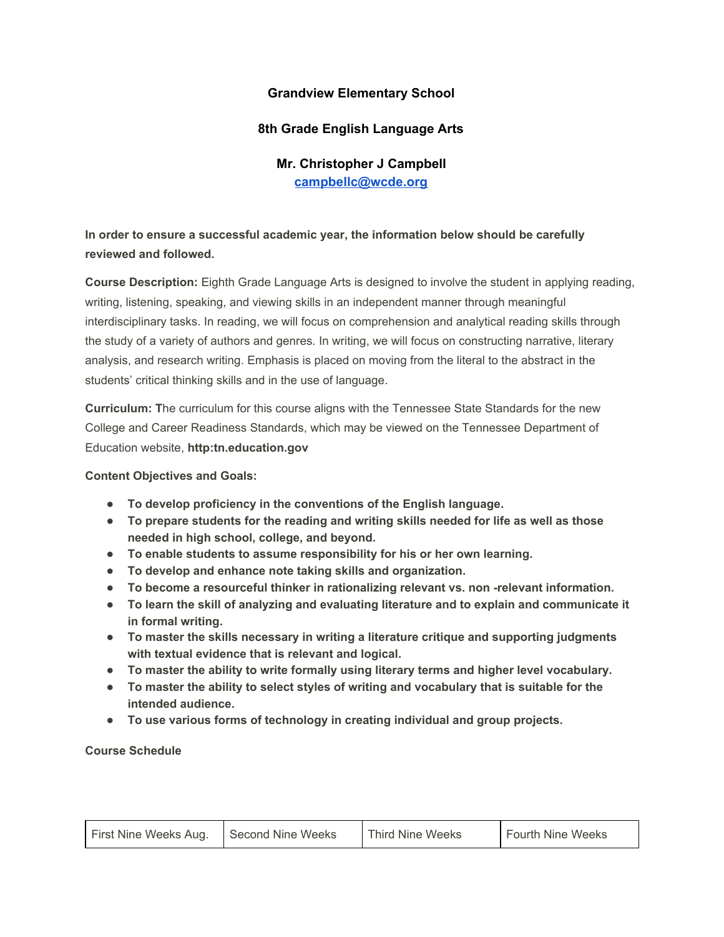## **Grandview Elementary School**

## **8th Grade English Language Arts**

## **Mr. Christopher J Campbell [campbellc@wcde.org](mailto:campbellc@wcde.org)**

## **In order to ensure a successful academic year, the information below should be carefully reviewed and followed.**

**Course Description:** Eighth Grade Language Arts is designed to involve the student in applying reading, writing, listening, speaking, and viewing skills in an independent manner through meaningful interdisciplinary tasks. In reading, we will focus on comprehension and analytical reading skills through the study of a variety of authors and genres. In writing, we will focus on constructing narrative, literary analysis, and research writing. Emphasis is placed on moving from the literal to the abstract in the students' critical thinking skills and in the use of language.

**Curriculum: T**he curriculum for this course aligns with the Tennessee State Standards for the new College and Career Readiness Standards, which may be viewed on the Tennessee Department of Education website, **http:tn.education.gov**

**Content Objectives and Goals:**

- **● To develop proficiency in the conventions of the English language.**
- **● To prepare students for the reading and writing skills needed for life as well as those needed in high school, college, and beyond.**
- **● To enable students to assume responsibility for his or her own learning.**
- **● To develop and enhance note taking skills and organization.**
- **● To become a resourceful thinker in rationalizing relevant vs. non -relevant information.**
- **● To learn the skill of analyzing and evaluating literature and to explain and communicate it in formal writing.**
- **● To master the skills necessary in writing a literature critique and supporting judgments with textual evidence that is relevant and logical.**
- **● To master the ability to write formally using literary terms and higher level vocabulary.**
- **● To master the ability to select styles of writing and vocabulary that is suitable for the intended audience.**
- **● To use various forms of technology in creating individual and group projects.**

**Course Schedule**

| First Nine Weeks Aug. | Second Nine Weeks | Third Nine Weeks | Fourth Nine Weeks |
|-----------------------|-------------------|------------------|-------------------|
|                       |                   |                  |                   |